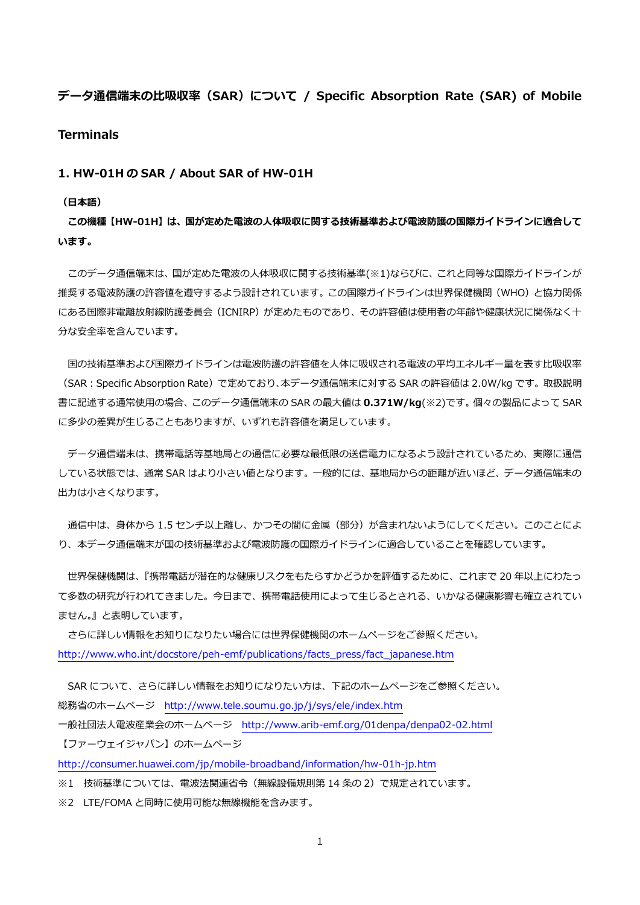# データ通信端末の比吸収率 (SAR) について / Specific Absorption Rate (SAR) of Mobile

### **Terminals**

#### 1. HW-01H の SAR / About SAR of HW-01H

#### (日本語)

この機種【HW-01H】は、国が定めた電波の人体吸収に関する技術基準および電波防護の国際ガイドラインに適合して います。

このデータ通信端末は、国が定めた電波の人体吸収に関する技術基準(※1)ならびに、これと同等な国際ガイドラインが 推奨する電波防護の許容値を遵守するよう設計されています。この国際ガイドラインは世界保健機関(WHO)と協力関係 にある国際非電離放射線防護委員会(ICNIRP)が定めたものであり、その許容値は使用者の年齢や健康状況に関係なく十 分な安全率を含んでいます。

国の技術基準および国際ガイドラインは電波防護の許容値を人体に吸収される電波の平均エネルギー量を表す比吸収率 (SAR:Specific Absorption Rate)で定めており、本データ通信端末に対する SAR の許容値は 2.0W/kg です。取扱説明 書に記述する通常使用の場合、このデータ通信端末の SAR の最大値は 0.371W/kg(※2)です。個々の製品によって SAR に多少の差異が生じることもありますが、いずれも許容値を満足しています。

データ通信端末は、携帯電話等基地局との通信に必要な最低限の送信電力になるよう設計されているため、実際に通信 している状態では、通常 SAR はより小さい値となります。一般的には、基地局からの距離が近いほど、データ通信端末の 出力は小さくなります。

通信中は、身体から 1.5 センチ以上離し、かつその間に金属 (部分) が含まれないようにしてください。このことによ り、本データ通信端末が国の技術基準および電波防護の国際ガイドラインに適合していることを確認しています。

世界保健機関は、『携帯電話が潜在的な健康リスクをもたらすかどうかを評価するために、これまで 20 年以上にわたっ て多数の研究が行われてきました。今日まで、携帯電話使用によって生じるとされる、いかなる健康影響も確立されてい ません。』と表明しています。

さらに詳しい情報をお知りになりたい場合には世界保健機関のホームページをご参照ください。 [http://www.who.int/docstore/peh-emf/publications/facts\\_press/fact\\_japanese.htm](http://www.who.int/docstore/peh-emf/publications/facts_press/fact_japanese.htm)

SAR について、さらに詳しい情報をお知りになりたい方は、下記のホームページをご参照ください。 総務省のホームページ <http://www.tele.soumu.go.jp/j/sys/ele/index.htm>

一般社団法人電波産業会のホームページ <http://www.arib-emf.org/01denpa/denpa02-02.html> 【ファーウェイジャパン】のホームページ

<http://consumer.huawei.com/jp/mobile-broadband/information/hw-01h-jp.htm>

※1 技術基準については、電波法関連省令(無線設備規則第 14 条の 2)で規定されています。

※2 LTE/FOMA と同時に使用可能な無線機能を含みます。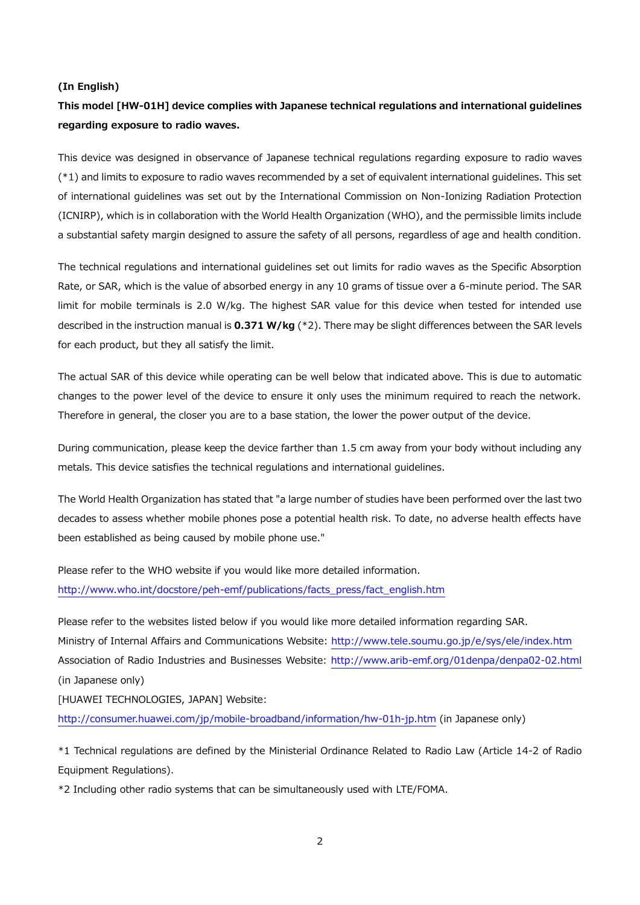#### (In English)

# This model [HW-01H] device complies with Japanese technical regulations and international guidelines regarding exposure to radio waves.

This device was designed in observance of Japanese technical regulations regarding exposure to radio waves (\*1) and limits to exposure to radio waves recommended by a set of equivalent international guidelines. This set of international guidelines was set out by the International Commission on Non-Ionizing Radiation Protection (ICNIRP), which is in collaboration with the World Health Organization (WHO), and the permissible limits include a substantial safety margin designed to assure the safety of all persons, regardless of age and health condition.

The technical regulations and international guidelines set out limits for radio waves as the Specific Absorption Rate, or SAR, which is the value of absorbed energy in any 10 grams of tissue over a 6-minute period. The SAR limit for mobile terminals is 2.0 W/kg. The highest SAR value for this device when tested for intended use described in the instruction manual is  $0.371$  W/kg ( $*2$ ). There may be slight differences between the SAR levels for each product, but they all satisfy the limit.

The actual SAR of this device while operating can be well below that indicated above. This is due to automatic changes to the power level of the device to ensure it only uses the minimum required to reach the network. Therefore in general, the closer you are to a base station, the lower the power output of the device.

During communication, please keep the device farther than 1.5 cm away from your body without including any metals. This device satisfies the technical regulations and international guidelines.

The World Health Organization has stated that "a large number of studies have been performed over the last two decades to assess whether mobile phones pose a potential health risk. To date, no adverse health effects have been established as being caused by mobile phone use."

Please refer to the WHO website if you would like more detailed information. [http://www.who.int/docstore/peh-emf/publications/facts\\_press/fact\\_english.htm](http://www.who.int/docstore/peh-emf/publications/facts_press/fact_english.htm)

Please refer to the websites listed below if you would like more detailed information regarding SAR. Ministry of Internal Affairs and Communications Website:<http://www.tele.soumu.go.jp/e/sys/ele/index.htm> Association of Radio Industries and Businesses Website:<http://www.arib-emf.org/01denpa/denpa02-02.html> (in Japanese only)

[HUAWEI TECHNOLOGIES, JAPAN] Website:

<http://consumer.huawei.com/jp/mobile-broadband/information/hw-01h-jp.htm> (in Japanese only)

\*1 Technical regulations are defined by the Ministerial Ordinance Related to Radio Law (Article 14-2 of Radio Equipment Regulations).

\*2 Including other radio systems that can be simultaneously used with LTE/FOMA.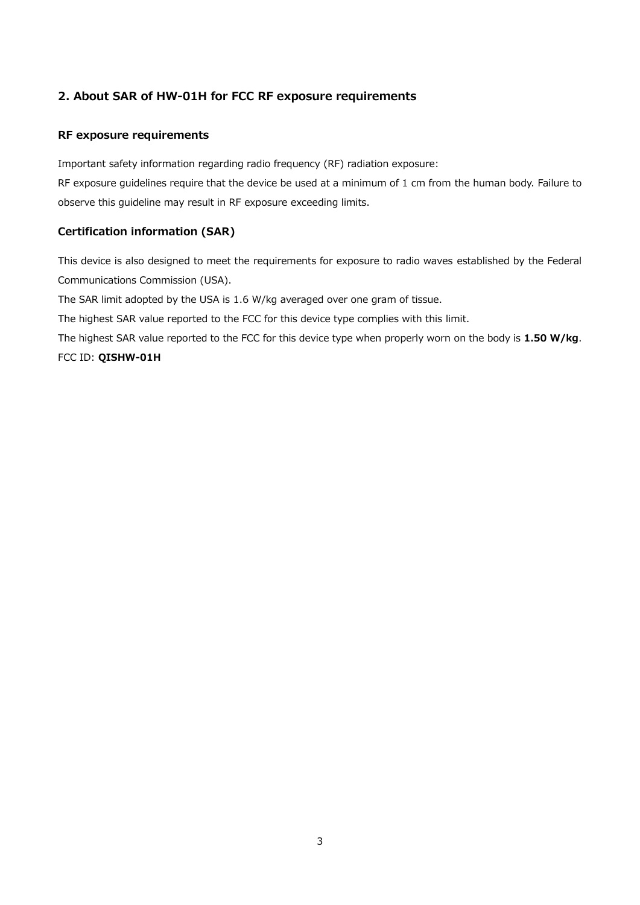# 2. About SAR of HW-01H for FCC RF exposure requirements

#### RF exposure requirements

Important safety information regarding radio frequency (RF) radiation exposure:

RF exposure guidelines require that the device be used at a minimum of 1 cm from the human body. Failure to observe this guideline may result in RF exposure exceeding limits.

## Certification information (SAR)

This device is also designed to meet the requirements for exposure to radio waves established by the Federal Communications Commission (USA).

The SAR limit adopted by the USA is 1.6 W/kg averaged over one gram of tissue.

The highest SAR value reported to the FCC for this device type complies with this limit.

The highest SAR value reported to the FCC for this device type when properly worn on the body is 1.50 W/kg. FCC ID: QISHW-01H